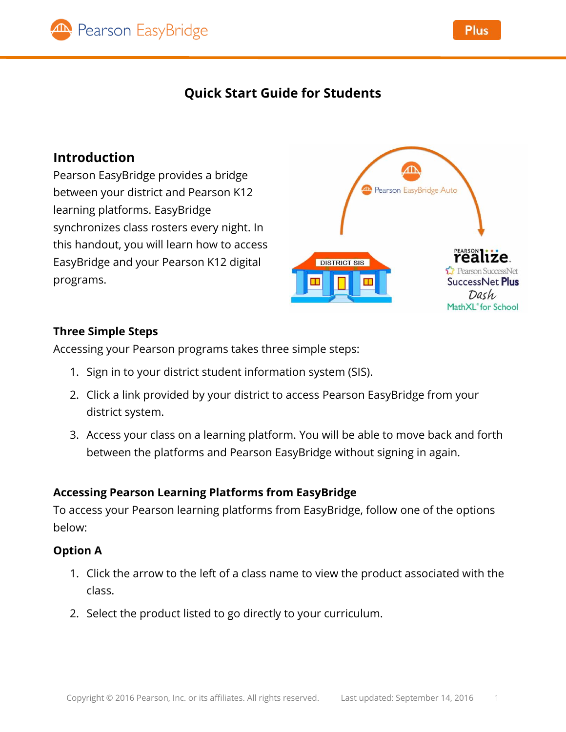

# **Quick Start Guide for Students**

## **Introduction**

Pearson EasyBridge provides a bridge between your district and Pearson K12 learning platforms. EasyBridge synchronizes class rosters every night. In this handout, you will learn how to access EasyBridge and your Pearson K12 digital programs.



#### **Three Simple Steps**

Accessing your Pearson programs takes three simple steps:

- 1. Sign in to your district student information system (SIS).
- 2. Click a link provided by your district to access Pearson EasyBridge from your district system.
- 3. Access your class on a learning platform. You will be able to move back and forth between the platforms and Pearson EasyBridge without signing in again.

### **Accessing Pearson Learning Platforms from EasyBridge**

To access your Pearson learning platforms from EasyBridge, follow one of the options below:

### **Option A**

- 1. Click the arrow to the left of a class name to view the product associated with the class.
- 2. Select the product listed to go directly to your curriculum.

**Plus**